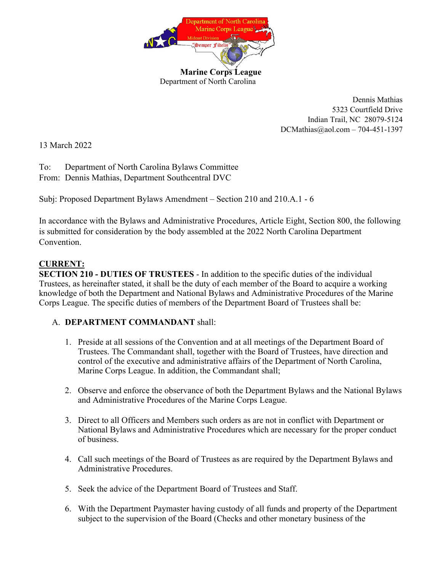

Dennis Mathias 5323 Courtfield Drive Indian Trail, NC 28079-5124 DCMathias@aol.com – 704-451-1397

13 March 2022

To: Department of North Carolina Bylaws Committee From: Dennis Mathias, Department Southcentral DVC

Subj: Proposed Department Bylaws Amendment – Section 210 and 210.A.1 - 6

In accordance with the Bylaws and Administrative Procedures, Article Eight, Section 800, the following is submitted for consideration by the body assembled at the 2022 North Carolina Department Convention.

## **CURRENT:**

**SECTION 210 - DUTIES OF TRUSTEES** - In addition to the specific duties of the individual Trustees, as hereinafter stated, it shall be the duty of each member of the Board to acquire a working knowledge of both the Department and National Bylaws and Administrative Procedures of the Marine Corps League. The specific duties of members of the Department Board of Trustees shall be:

## A. **DEPARTMENT COMMANDANT** shall:

- 1. Preside at all sessions of the Convention and at all meetings of the Department Board of Trustees. The Commandant shall, together with the Board of Trustees, have direction and control of the executive and administrative affairs of the Department of North Carolina, Marine Corps League. In addition, the Commandant shall;
- 2. Observe and enforce the observance of both the Department Bylaws and the National Bylaws and Administrative Procedures of the Marine Corps League.
- 3. Direct to all Officers and Members such orders as are not in conflict with Department or National Bylaws and Administrative Procedures which are necessary for the proper conduct of business.
- 4. Call such meetings of the Board of Trustees as are required by the Department Bylaws and Administrative Procedures.
- 5. Seek the advice of the Department Board of Trustees and Staff.
- 6. With the Department Paymaster having custody of all funds and property of the Department subject to the supervision of the Board (Checks and other monetary business of the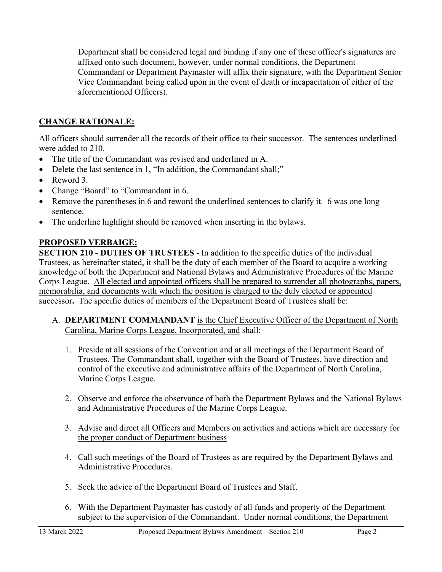Department shall be considered legal and binding if any one of these officer's signatures are affixed onto such document, however, under normal conditions, the Department Commandant or Department Paymaster will affix their signature, with the Department Senior Vice Commandant being called upon in the event of death or incapacitation of either of the aforementioned Officers).

## **CHANGE RATIONALE:**

All officers should surrender all the records of their office to their successor. The sentences underlined were added to 210.

- The title of the Commandant was revised and underlined in A.
- Delete the last sentence in 1, "In addition, the Commandant shall;"
- Reword 3.
- Change "Board" to "Commandant in 6.
- Remove the parentheses in 6 and reword the underlined sentences to clarify it. 6 was one long sentence.
- The underline highlight should be removed when inserting in the bylaws.

## **PROPOSED VERBAIGE:**

**SECTION 210 - DUTIES OF TRUSTEES** - In addition to the specific duties of the individual Trustees, as hereinafter stated, it shall be the duty of each member of the Board to acquire a working knowledge of both the Department and National Bylaws and Administrative Procedures of the Marine Corps League. All elected and appointed officers shall be prepared to surrender all photographs, papers, memorabilia, and documents with which the position is charged to the duly elected or appointed successor. The specific duties of members of the Department Board of Trustees shall be:

- A. **DEPARTMENT COMMANDANT** is the Chief Executive Officer of the Department of North Carolina, Marine Corps League, Incorporated, and shall:
	- 1. Preside at all sessions of the Convention and at all meetings of the Department Board of Trustees. The Commandant shall, together with the Board of Trustees, have direction and control of the executive and administrative affairs of the Department of North Carolina, Marine Corps League.
	- 2. Observe and enforce the observance of both the Department Bylaws and the National Bylaws and Administrative Procedures of the Marine Corps League.
	- 3. Advise and direct all Officers and Members on activities and actions which are necessary for the proper conduct of Department business
	- 4. Call such meetings of the Board of Trustees as are required by the Department Bylaws and Administrative Procedures.
	- 5. Seek the advice of the Department Board of Trustees and Staff.
	- 6. With the Department Paymaster has custody of all funds and property of the Department subject to the supervision of the Commandant. Under normal conditions, the Department